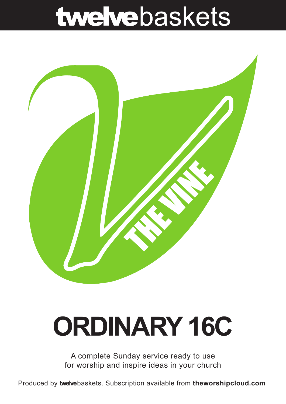## twelvebaskets



# **ORDINARY 16C**

A complete Sunday service ready to use for worship and inspire ideas in your church

Produced by **twelve**baskets. Subscription available from **theworshipcloud.com**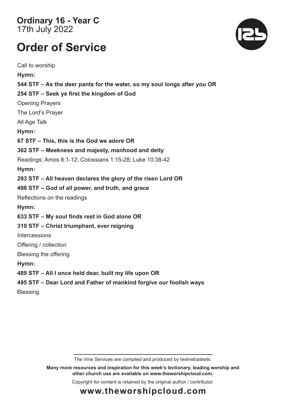**Ordinary 16 - Year C**  17th July 2022

### **Order of Service**

Call to worship **Hymn: 544 STF – As the deer pants for the water, so my soul longs after you OR 254 STF – Seek ye first the kingdom of God** Opening Prayers The Lord's Prayer All Age Talk **Hymn: 67 STF – This, this is the God we adore OR 362 STF – Meekness and majesty, manhood and deity** Readings: Amos 8:1-12; Colossians 1:15-28; Luke 10:38-42 **Hymn: 293 STF – All heaven declares the glory of the risen Lord OR 498 STF – God of all power, and truth, and grace**  Reflections on the readings **Hymn: 633 STF – My soul finds rest in God alone OR 319 STF – Christ triumphant, ever reigning Intercessions** Offering / collection Blessing the offering **Hymn: 489 STF – All I once held dear, built my life upon OR 495 STF – Dear Lord and Father of mankind forgive our foolish ways Blessing** 

The Vine Services are compiled and produced by twelvebaskets.

**Many more resources and inspiration for this week's lectionary, leading worship and other church use are available on www.theworshipcloud.com.**

Copyright for content is retained by the original author / contributor.



### **www.theworshipcloud.com**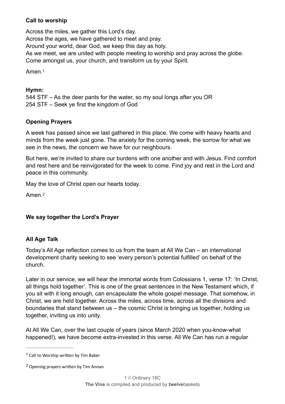#### **Call to worship**

Across the miles, we gather this Lord's day. Across the ages, we have gathered to meet and pray. Around your world, dear God, we keep this day as holy. As we meet, we are united with people meeting to worship and pray across the globe. Come amongst us, your church, and transform us by your Spirit.

<span id="page-2-2"></span>Amen<sup>[1](#page-2-0)</sup>

#### **Hymn:**

544 STF – As the deer pants for the water, so my soul longs after you OR 254 STF – Seek ye first the kingdom of God

#### **Opening Prayers**

A week has passed since we last gathered in this place. We come with heavy hearts and minds from the week just gone. The anxiety for the coming week, the sorrow for what we see in the news, the concern we have for our neighbours.

But here, we're invited to share our burdens with one another and with Jesus. Find comfort and rest here and be reinvigorated for the week to come. Find joy and rest in the Lord and peace in this community.

May the love of Christ open our hearts today.

<span id="page-2-3"></span>Amen.*[2](#page-2-1)*

#### **We say together the Lord's Prayer**

#### **All Age Talk**

Today's All Age reflection comes to us from the team at All We Can – an international development charity seeking to see 'every person's potential fulfilled' on behalf of the church.

Later in our service, we will hear the immortal words from Colossians 1, verse 17: 'In Christ, all things hold together'. This is one of the great sentences in the New Testament which, if you sit with it long enough, can encapsulate the whole gospel message. That somehow, in Christ, we are held together. Across the miles, across time, across all the divisions and boundaries that stand between us – the cosmic Christ is bringing us together, holding us together, inviting us into unity.

At All We Can, over the last couple of years (since March 2020 when you-know-what happened!), we have become extra-invested in this verse. All We Can has run a regular

<span id="page-2-0"></span> $1$  Call to Worship written by Tim Baker

<span id="page-2-1"></span>Opening prayers written by Tim Annan *[2](#page-2-3)*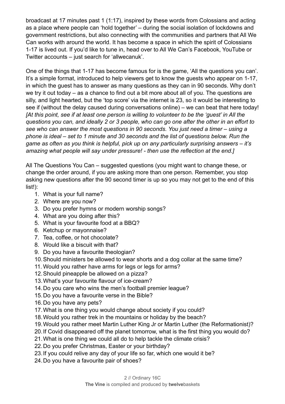broadcast at 17 minutes past 1 (1:17), inspired by these words from Colossians and acting as a place where people can 'hold together' – during the social isolation of lockdowns and government restrictions, but also connecting with the communities and partners that All We Can works with around the world. It has become a space in which the spirit of Colossians 1-17 is lived out. If you'd like to tune in, head over to All We Can's Facebook, YouTube or Twitter accounts – just search for 'allwecanuk'.

One of the things that 1-17 has become famous for is the game, 'All the questions you can'. It's a simple format, introduced to help viewers get to know the guests who appear on 1-17, in which the guest has to answer as many questions as they can in 90 seconds. Why don't we try it out today – as a chance to find out a bit more about all of you. The questions are silly, and light hearted, but the 'top score' via the internet is 23, so it would be interesting to see if (without the delay caused during conversations online) – we can beat that here today! *[At this point, see if at least one person is willing to volunteer to be the 'guest' in All the questions you can, and ideally 2 or 3 people, who can go one after the other in an effort to see who can answer the most questions in 90 seconds. You just need a timer – using a phone is ideal – set to 1 minute and 30 seconds and the list of questions below. Run the game as often as you think is helpful, pick up on any particularly surprising answers – it's amazing what people will say under pressure! - then use the reflection at the end.]*

All The Questions You Can – suggested questions (you might want to change these, or change the order around, if you are asking more than one person. Remember, you stop asking new questions after the 90 second timer is up so you may not get to the end of this list!):

- 1. What is your full name?
- 2. Where are you now?
- 3. Do you prefer hymns or modern worship songs?
- 4. What are you doing after this?
- 5. What is your favourite food at a BBQ?
- 6. Ketchup or mayonnaise?
- 7. Tea, coffee, or hot chocolate?
- 8. Would like a biscuit with that?
- 9. Do you have a favourite theologian?
- 10.Should ministers be allowed to wear shorts and a dog collar at the same time?
- 11. Would you rather have arms for legs or legs for arms?
- 12.Should pineapple be allowed on a pizza?
- 13.What's your favourite flavour of ice-cream?
- 14.Do you care who wins the men's football premier league?
- 15.Do you have a favourite verse in the Bible?
- 16.Do you have any pets?
- 17.What is one thing you would change about society if you could?
- 18.Would you rather trek in the mountains or holiday by the beach?
- 19.Would you rather meet Martin Luther King Jr or Martin Luther (the Reformationist)?
- 20.If Covid disappeared off the planet tomorrow, what is the first thing you would do?
- 21.What is one thing we could all do to help tackle the climate crisis?
- 22.Do you prefer Christmas, Easter or your birthday?
- 23.If you could relive any day of your life so far, which one would it be?
- 24.Do you have a favourite pair of shoes?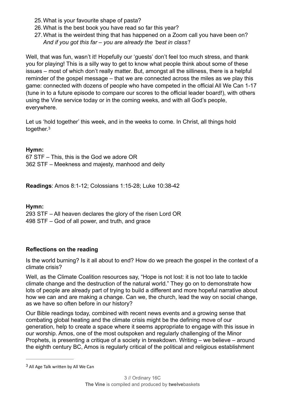- 25.What is your favourite shape of pasta?
- 26.What is the best book you have read so far this year?
- 27.What is the weirdest thing that has happened on a Zoom call you have been on? *And if you got this far – you are already the 'best in class'!*

Well, that was fun, wasn't it! Hopefully our 'quests' don't feel too much stress, and thank you for playing! This is a silly way to get to know what people think about some of these issues – most of which don't really matter. But, amongst all the silliness, there is a helpful reminder of the gospel message – that we are connected across the miles as we play this game: connected with dozens of people who have competed in the official All We Can 1-17 (tune in to a future episode to compare our scores to the official leader board!), with others using the Vine service today or in the coming weeks, and with all God's people, everywhere.

<span id="page-4-1"></span>Let us 'hold together' this week, and in the weeks to come. In Christ, all things hold together.[3](#page-4-0)

#### **Hymn:**

67 STF – This, this is the God we adore OR 362 STF – Meekness and majesty, manhood and deity

**Readings**: Amos 8:1-12; Colossians 1:15-28; Luke 10:38-42

#### **Hymn:**

293 STF – All heaven declares the glory of the risen Lord OR 498 STF – God of all power, and truth, and grace

#### **Reflections on the reading**

Is the world burning? Is it all about to end? How do we preach the gospel in the context of a climate crisis?

Well, as the Climate Coalition resources say, "Hope is not lost: it is not too late to tackle climate change and the destruction of the natural world." They go on to demonstrate how lots of people are already part of trying to build a different and more hopeful narrative about how we can and are making a change. Can we, the church, lead the way on social change, as we have so often before in our history?

Our Bible readings today, combined with recent news events and a growing sense that combating global heating and the climate crisis might be the defining move of our generation, help to create a space where it seems appropriate to engage with this issue in our worship. Amos, one of the most outspoken and regularly challenging of the Minor Prophets, is presenting a critique of a society in breakdown. Writing – we believe – around the eighth century BC, Amos is regularly critical of the political and religious establishment

<span id="page-4-0"></span> $3$  All Age Talk written by All We Can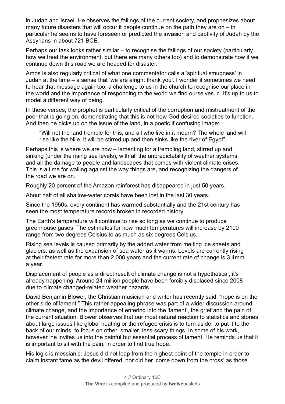in Judah and Israel. He observes the failings of the current society, and prophesizes about many future disasters that will occur if people continue on the path they are on – in particular he seems to have foreseen or predicted the invasion and captivity of Judah by the Assyrians in about 721 BCE.

Perhaps our task looks rather similar – to recognise the failings of our society (particularly how we treat the environment, but there are many others too) and to demonstrate how if we continue down this road we are headed for disaster.

Amos is also regularly critical of what one commentator calls a 'spiritual smugness' in Judah at the time – a sense that 'we are alright thank you'. I wonder if sometimes we need to hear that message again too: a challenge to us in the church to recognise our place in the world and the importance of responding to the world we find ourselves in. It's up to us to model a different way of being.

In these verses, the prophet is particularly critical of the corruption and mistreatment of the poor that is going on, demonstrating that this is not how God desired societies to function. And then he picks up on the issue of the land, in a poetic if confusing image:

"Will not the land tremble for this, and all who live in it mourn? The whole land will rise like the Nile, it will be stirred up and then sinks like the river of Egypt".

Perhaps this is where we are now – lamenting for a trembling land, stirred up and sinking (under the rising sea levels), with all the unpredictability of weather systems and all the damage to people and landscapes that comes with violent climate crises. This is a time for wailing against the way things are, and recognizing the dangers of the road we are on.

Roughly 20 percent of the Amazon rainforest has disappeared in just 50 years.

About half of all shallow-water corals have been lost in the last 30 years.

Since the 1950s, every continent has warmed substantially and the 21st century has seen the most temperature records broken in recorded history.

The Earth's temperature will continue to rise so long as we continue to produce greenhouse gases. The estimates for how much temperatures will increase by 2100 range from two degrees Celsius to as much as six degrees Celsius.

Rising sea levels is caused primarily by the added water from melting ice sheets and glaciers, as well as the expansion of sea water as it warms. Levels are currently rising at their fastest rate for more than 2,000 years and the current rate of change is 3.4mm a year.

Displacement of people as a direct result of climate change is not a hypothetical, it's already happening. Around 24 million people have been forcibly displaced since 2008 due to climate changed-related weather hazards.

David Benjamin Blower, the Christian musician and writer has recently said: "hope is on the other side of lament." This rather appealing phrase was part of a wider discussion around climate change, and the importance of entering into the 'lament', the grief and the pain of the current situation. Blower observes that our most natural reaction to statistics and stories about large issues like global heating or the refugee crisis is to turn aside, to put it to the back of our minds, to focus on other, smaller, less-scary things. In some of his work, however, he invites us into the painful but essential process of lament. He reminds us that it is important to sit with the pain, in order to find true hope.

His logic is messianic: Jesus did not leap from the highest point of the temple in order to claim instant fame as the devil offered, nor did her 'come down from the cross' as those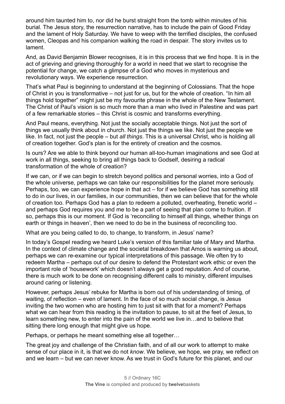around him taunted him to, nor did he burst straight from the tomb within minutes of his burial. The Jesus story, the resurrection narrative, has to include the pain of Good Friday and the lament of Holy Saturday. We have to weep with the terrified disciples, the confused women, Cleopas and his companion walking the road in despair. The story invites us to lament.

And, as David Benjamin Blower recognises, it is in this process that we find hope. It is in the act of grieving and grieving thoroughly for a world in need that we start to recognise the potential for change, we catch a glimpse of a God who moves in mysterious and revolutionary ways. We experience resurrection.

That's what Paul is beginning to understand at the beginning of Colossians. That the hope of Christ in you is transformative – not just for us, but for the whole of creation. "In him all things hold together" might just be my favourite phrase in the whole of the New Testament. The Christ of Paul's vision is so much more than a man who lived in Palestine and was part of a few remarkable stories – this Christ is cosmic and transforms everything.

And Paul means, everything. Not just the socially acceptable things. Not just the sort of things we usually think about in church. Not just the things we like. Not just the people we like. In fact, not just the people – but *all things*. This is a universal Christ, who is holding all of creation together. God's plan is for the entirety of creation and the cosmos.

Is ours? Are we able to think beyond our human all-too-human imaginations and see God at work in all things, seeking to bring all things back to Godself, desiring a radical transformation of the whole of creation?

If we can, or if we can begin to stretch beyond politics and personal worries, into a God of the whole universe, perhaps we can take our responsibilities for the planet more seriously. Perhaps, too, we can experience hope in that act – for if we believe God has something still to do in our lives, in our families, in our communities, then we can believe that for the whole of creation too. Perhaps God has a plan to redeem a polluted, overheating, frenetic world – and perhaps God requires you and me to be a part of seeing that plan come to fruition. If so, perhaps this is our moment. If God is 'reconciling to himself all things, whether things on earth or things in heaven', then we need to do be in the business of reconciling too.

What are you being called to do, to change, to transform, in Jesus' name?

In today's Gospel reading we heard Luke's version of this familiar tale of Mary and Martha. In the context of climate change and the societal breakdown that Amos is warning us about, perhaps we can re-examine our typical interpretations of this passage. We often try to redeem Martha – perhaps out of our desire to defend the Protestant work ethic or even the important role of 'housework' which doesn't always get a good reputation. And of course, there is much work to be done on recognising different calls to ministry, different impulses around caring or listening.

However, perhaps Jesus' rebuke for Martha is born out of his understanding of timing, of waiting, of reflection – even of lament. In the face of so much social change, is Jesus inviting the two women who are hosting him to just sit with that for a moment? Perhaps what we can hear from this reading is the invitation to pause, to sit at the feet of Jesus, to learn something new, to enter into the pain of the world we live in…and to believe that sitting there long enough that might give us hope.

Perhaps, or perhaps he meant something else all together…

The great joy and challenge of the Christian faith, and of all our work to attempt to make sense of our place in it, is that we do not *know*. We believe, we hope, we pray, we reflect on and we learn – but we can never know. As we trust in God's future for this planet, and our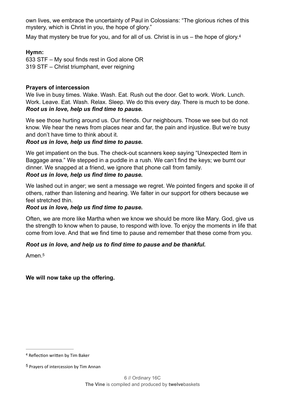own lives, we embrace the uncertainty of Paul in Colossians: "The glorious riches of this mystery, which is Christ in you, the hope of glory."

<span id="page-7-0"></span>May that mystery be true for you, and for all of us. Christ is in us - the hope of glory.<sup>4</sup>

#### Hymn:

633 STF - My soul finds rest in God alone OR 319 STF - Christ triumphant, ever reigning

#### **Prayers of intercession**

We live in busy times. Wake. Wash. Eat. Rush out the door. Get to work. Work. Lunch. Work. Leave. Eat. Wash. Relax. Sleep. We do this every day. There is much to be done. Root us in love, help us find time to pause.

We see those hurting around us. Our friends. Our neighbours. Those we see but do not know. We hear the news from places near and far, the pain and injustice. But we're busy and don't have time to think about it.

#### Root us in love, help us find time to pause.

We get impatient on the bus. The check-out scanners keep saying "Unexpected Item in Baggage area." We stepped in a puddle in a rush. We can't find the keys; we burnt our dinner. We snapped at a friend, we ignore that phone call from family. Root us in love, help us find time to pause.

We lashed out in anger; we sent a message we regret. We pointed fingers and spoke ill of others, rather than listening and hearing. We falter in our support for others because we feel stretched thin.

#### Root us in love, help us find time to pause.

Often, we are more like Martha when we know we should be more like Mary. God, give us the strength to know when to pause, to respond with love. To enjoy the moments in life that come from love. And that we find time to pause and remember that these come from you.

#### Root us in love, and help us to find time to pause and be thankful.

<span id="page-7-1"></span>Amen<sub>5</sub>

#### We will now take up the offering.

<sup>&</sup>lt;sup>[4](#page-7-0)</sup> Reflection written by Tim Baker

<sup>&</sup>lt;sup>[5](#page-7-1)</sup> Prayers of intercession by Tim Annan